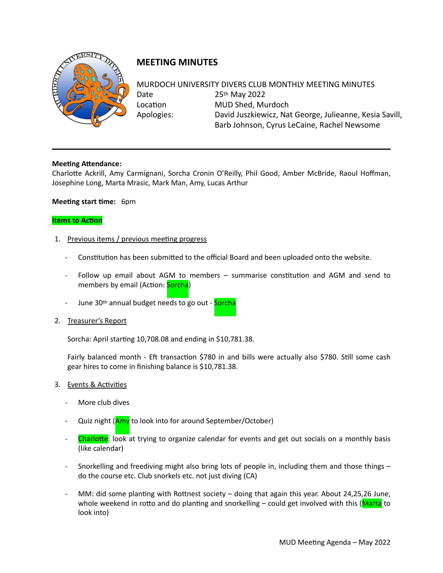

# **MEETING MINUTES**

MURDOCH UNIVERSITY DIVERS CLUB MONTHLY MEETING MINUTES Date  $25<sup>th</sup>$  May 2022 Location **MUD** Shed, Murdoch Apologies: David Juszkiewicz, Nat George, Julieanne, Kesia Savill, Barb Johnson, Cyrus LeCaine, Rachel Newsome

### **Meeting Attendance:**

Charlotte Ackrill, Amy Carmignani, Sorcha Cronin O'Reilly, Phil Good, Amber McBride, Raoul Hoffman, Josephine Long, Marta Mrasic, Mark Man, Amy, Lucas Arthur

### **Meeting start time:** 6pm

### **Items to Action**

- 1. Previous items / previous meeting progress
	- Constitution has been submitted to the official Board and been uploaded onto the website.
	- Follow up email about AGM to members summarise constitution and AGM and send to members by email (Action: **Sorcha)**
	- June 30<sup>th</sup> annual budget needs to go out **Sorcha**
- 2. Treasurer's Report

Sorcha: April starting 10,708.08 and ending in \$10,781.38.

Fairly balanced month - Eft transaction \$780 in and bills were actually also \$780. Still some cash gear hires to come in finishing balance is \$10,781.38.

- 3. Events & Activities
	- More club dives
	- Quiz night (**Amy** to look into for around September/October)
	- Charlotte: look at trying to organize calendar for events and get out socials on a monthly basis (like calendar)
	- Snorkelling and freediving might also bring lots of people in, including them and those things  $$ do the course etc. Club snorkels etc. not just diving (CA)
	- MM: did some planting with Rottnest society  $-$  doing that again this year. About 24,25,26 June, whole weekend in rotto and do planting and snorkelling – could get involved with this (Marta to look into)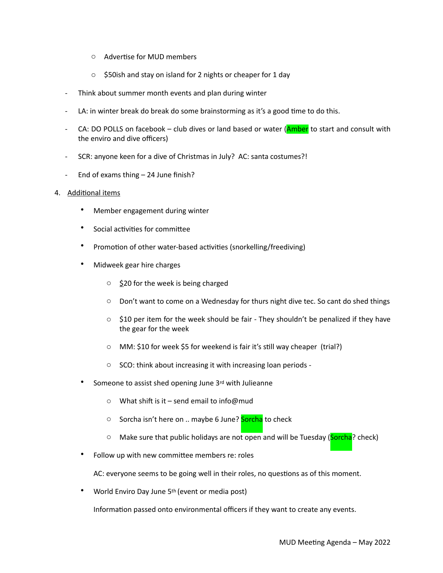- o Advertise for MUD members
- $\circ$  \$50ish and stay on island for 2 nights or cheaper for 1 day
- Think about summer month events and plan during winter
- LA: in winter break do break do some brainstorming as it's a good time to do this.
- CA: DO POLLS on facebook club dives or land based or water (**Amber** to start and consult with the enviro and dive officers)
- SCR: anyone keen for a dive of Christmas in July? AC: santa costumes?!
- End of exams thing  $-$  24 June finish?
- 4. Additional items
	- Member engagement during winter
	- Social activities for committee
	- Promotion of other water-based activities (snorkelling/freediving)
	- Midweek gear hire charges
		- $\circ$  \$20 for the week is being charged
		- $\circ$  Don't want to come on a Wednesday for thurs night dive tec. So cant do shed things
		- $\circ$  \$10 per item for the week should be fair They shouldn't be penalized if they have the gear for the week
		- $\circ$  MM: \$10 for week \$5 for weekend is fair it's still way cheaper (trial?)
		- $\circ$  SCO: think about increasing it with increasing loan periods -
	- Someone to assist shed opening June 3rd with Julieanne
		- $\circ$  What shift is it send email to info@mud
		- Sorcha isn't here on .. maybe 6 June? Sorcha to check
		- Make sure that public holidays are not open and will be Tuesday (**Sorcha**? check)
	- Follow up with new committee members re: roles

AC: everyone seems to be going well in their roles, no questions as of this moment.

World Enviro Day June 5<sup>th</sup> (event or media post)

Information passed onto environmental officers if they want to create any events.